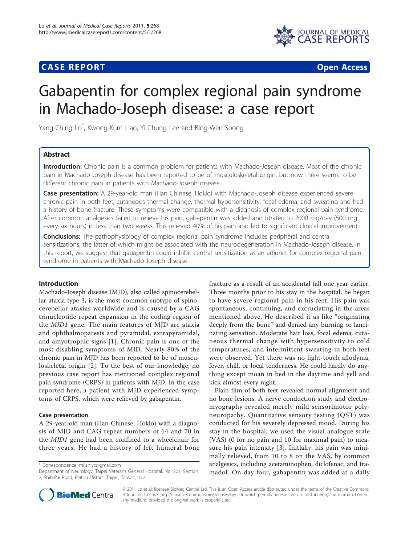## **CASE REPORT CASE REPORT CASE REPORT**



# Gabapentin for complex regional pain syndrome in Machado-Joseph disease: a case report

Yang-Ching Lo\* , Kwong-Kum Liao, Yi-Chung Lee and Bing-Wen Soong

## Abstract

Introduction: Chronic pain is a common problem for patients with Machado-Joseph disease. Most of the chronic pain in Machado-Joseph disease has been reported to be of musculoskeletal origin, but now there seems to be different chronic pain in patients with Machado-Joseph disease.

Case presentation: A 29-year-old man (Han Chinese, Hoklo) with Machado-Joseph disease experienced severe chronic pain in both feet, cutaneous thermal change, thermal hypersensitivity, focal edema, and sweating and had a history of bone fracture. These symptoms were compatible with a diagnosis of complex regional pain syndrome. After common analgesics failed to relieve his pain, gabapentin was added and titrated to 2000 mg/day (500 mg every six hours) in less than two weeks. This relieved 40% of his pain and led to significant clinical improvement.

**Conclusions:** The pathophysiology of complex regional pain syndrome includes peripheral and central sensitizations, the latter of which might be associated with the neurodegeneration in Machado-Joseph disease. In this report, we suggest that gabapentin could inhibit central sensitization as an adjunct for complex regional pain syndrome in patients with Machado-Joseph disease.

## Introduction

Machado-Joseph disease (MJD), also called spinocerebellar ataxia type 3, is the most common subtype of spinocerebellar ataxias worldwide and is caused by a CAG trinucleotide repeat expansion in the coding region of the MJD1 gene. The main features of MJD are ataxia and ophthalmoparesis and pyramidal, extrapyramidal, and amyotrophic signs [\[1\]](#page-2-0). Chronic pain is one of the most disabling symptoms of MJD. Nearly 80% of the chronic pain in MJD has been reported to be of musculoskeletal origin [[2\]](#page-2-0). To the best of our knowledge, no previous case report has mentioned complex regional pain syndrome (CRPS) in patients with MJD. In the case reported here, a patient with MJD experienced symptoms of CRPS, which were relieved by gabapentin.

## Case presentation

A 29-year-old man (Han Chinese, Hoklo) with a diagnosis of MJD and CAG repeat numbers of 14 and 70 in the MJD1 gene had been confined to a wheelchair for three years. He had a history of left humeral bone

\* Correspondence: [milanlyc@gmail.com](mailto:milanlyc@gmail.com)

fracture as a result of an accidental fall one year earlier. Three months prior to his stay in the hospital, he began to have severe regional pain in his feet. His pain was spontaneous, continuing, and excruciating in the areas mentioned above. He described it as like "originating deeply from the bone" and denied any burning or lancinating sensation. Moderate hair loss, focal edema, cutaneous thermal change with hypersensitivity to cold temperatures, and intermittent sweating in both feet were observed. Yet there was no light-touch allodynia, fever, chill, or local tenderness. He could hardly do anything except moan in bed in the daytime and yell and kick almost every night.

Plain film of both feet revealed normal alignment and no bone lesions. A nerve conduction study and electromyography revealed merely mild sensorimotor polyneuropathy. Quantitative sensory testing (QST) was conducted for his severely depressed mood. During his stay in the hospital, we used the visual analogue scale (VAS) (0 for no pain and 10 for maximal pain) to measure his pain intensity [[3\]](#page-2-0). Initially, his pain was minimally relieved, from 10 to 8 on the VAS, by common analgesics, including acetaminophen, diclofenac, and tramadol. On day four, gabapentin was added at a daily



© 2011 Lo et al; licensee BioMed Central Ltd. This is an Open Access article distributed under the terms of the Creative Commons Attribution License [\(http://creativecommons.org/licenses/by/2.0](http://creativecommons.org/licenses/by/2.0)), which permits unrestricted use, distribution, and reproduction in any medium, provided the original work is properly cited.

Department of Neurology, Taipei Veterans General Hospital, No. 201, Section 2, Shih-Pai Road, Beitou District, Taipei, Taiwan, 112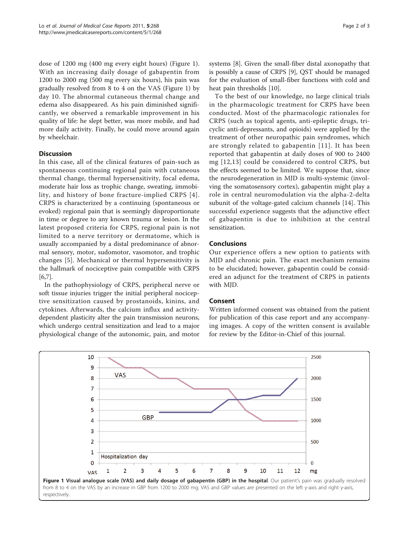dose of 1200 mg (400 mg every eight hours) (Figure 1). With an increasing daily dosage of gabapentin from 1200 to 2000 mg (500 mg every six hours), his pain was gradually resolved from 8 to 4 on the VAS (Figure 1) by day 10. The abnormal cutaneous thermal change and edema also disappeared. As his pain diminished significantly, we observed a remarkable improvement in his quality of life: he slept better, was more mobile, and had more daily activity. Finally, he could move around again by wheelchair.

## **Discussion**

In this case, all of the clinical features of pain-such as spontaneous continuing regional pain with cutaneous thermal change, thermal hypersensitivity, focal edema, moderate hair loss as trophic change, sweating, immobility, and history of bone fracture-implied CRPS [\[4\]](#page-2-0). CRPS is characterized by a continuing (spontaneous or evoked) regional pain that is seemingly disproportionate in time or degree to any known trauma or lesion. In the latest proposed criteria for CRPS, regional pain is not limited to a nerve territory or dermatome, which is usually accompanied by a distal predominance of abnormal sensory, motor, sudomotor, vasomotor, and trophic changes [\[5\]](#page-2-0). Mechanical or thermal hypersensitivity is the hallmark of nociceptive pain compatible with CRPS [[6,7\]](#page-2-0).

In the pathophysiology of CRPS, peripheral nerve or soft tissue injuries trigger the initial peripheral nociceptive sensitization caused by prostanoids, kinins, and cytokines. Afterwards, the calcium influx and activitydependent plasticity alter the pain transmission neurons, which undergo central sensitization and lead to a major physiological change of the autonomic, pain, and motor

systems [[8\]](#page-2-0). Given the small-fiber distal axonopathy that is possibly a cause of CRPS [\[9](#page-2-0)], QST should be managed for the evaluation of small-fiber functions with cold and heat pain thresholds [\[10](#page-2-0)].

To the best of our knowledge, no large clinical trials in the pharmacologic treatment for CRPS have been conducted. Most of the pharmacologic rationales for CRPS (such as topical agents, anti-epileptic drugs, tricyclic anti-depressants, and opioids) were applied by the treatment of other neuropathic pain syndromes, which are strongly related to gabapentin [[11](#page-2-0)]. It has been reported that gabapentin at daily doses of 900 to 2400 mg [[12,13](#page-2-0)] could be considered to control CRPS, but the effects seemed to be limited. We suppose that, since the neurodegeneration in MJD is multi-systemic (involving the somatosensory cortex), gabapentin might play a role in central neuromodulation via the alpha-2-delta subunit of the voltage-gated calcium channels [[14\]](#page-2-0). This successful experience suggests that the adjunctive effect of gabapentin is due to inhibition at the central sensitization.

## Conclusions

Our experience offers a new option to patients with MJD and chronic pain. The exact mechanism remains to be elucidated; however, gabapentin could be considered an adjunct for the treatment of CRPS in patients with MJD.

## Consent

Written informed consent was obtained from the patient for publication of this case report and any accompanying images. A copy of the written consent is available for review by the Editor-in-Chief of this journal.